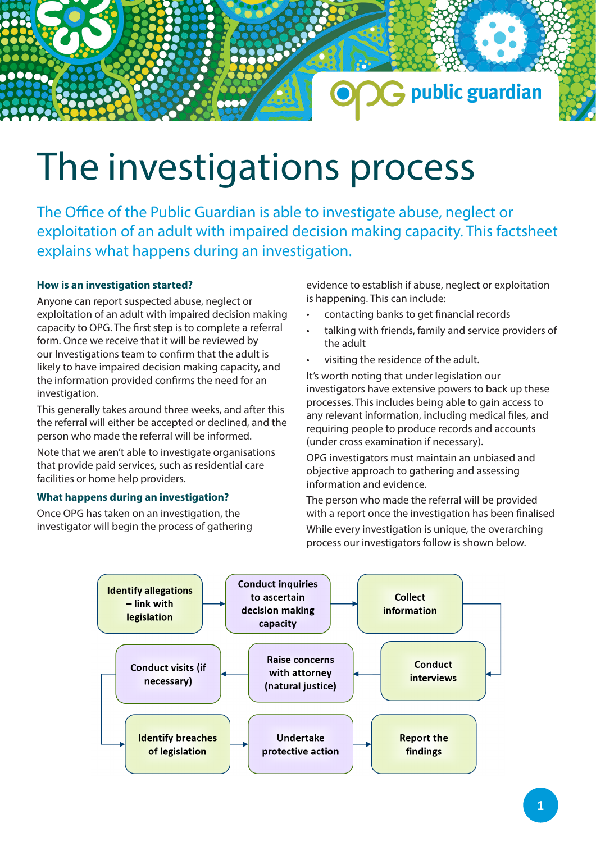# The investigations process

The Office of the Public Guardian is able to investigate abuse, neglect or exploitation of an adult with impaired decision making capacity. This factsheet explains what happens during an investigation.

## **How is an investigation started?**

Anyone can report suspected abuse, neglect or exploitation of an adult with impaired decision making capacity to OPG. The first step is to complete a referral form. Once we receive that it will be reviewed by our Investigations team to confirm that the adult is likely to have impaired decision making capacity, and the information provided confirms the need for an investigation.

This generally takes around three weeks, and after this the referral will either be accepted or declined, and the person who made the referral will be informed.

Note that we aren't able to investigate organisations that provide paid services, such as residential care facilities or home help providers.

## **What happens during an investigation?**

Once OPG has taken on an investigation, the investigator will begin the process of gathering evidence to establish if abuse, neglect or exploitation is happening. This can include:

G public guardian

- contacting banks to get financial records
- talking with friends, family and service providers of the adult
- visiting the residence of the adult.

It's worth noting that under legislation our investigators have extensive powers to back up these processes. This includes being able to gain access to any relevant information, including medical files, and requiring people to produce records and accounts (under cross examination if necessary).

OPG investigators must maintain an unbiased and objective approach to gathering and assessing information and evidence.

The person who made the referral will be provided with a report once the investigation has been finalised While every investigation is unique, the overarching process our investigators follow is shown below.